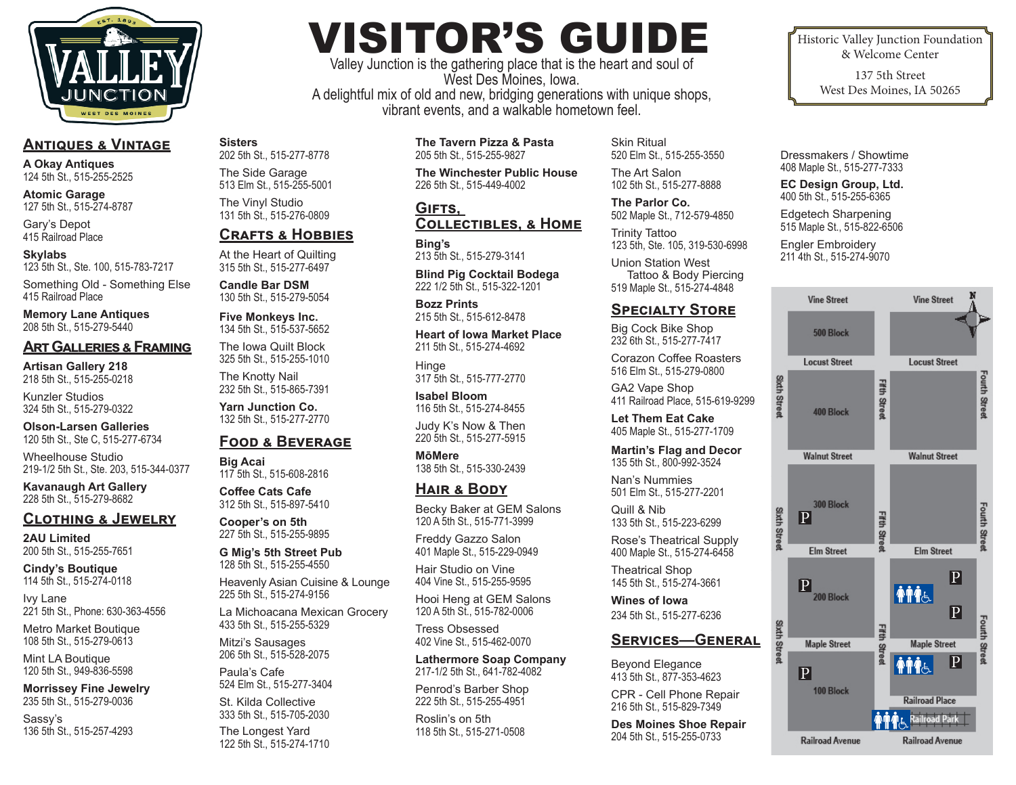

**Sisters**

202 5th St., 515-277-8778 The Side Garage 513 Elm St., 515-255-5001 The Vinyl Studio 131 5th St., 515-276-0809 **Crafts & Hobbies** At the Heart of Quilting 315 5th St., 515-277-6497 **Candle Bar DSM** 130 5th St., 515-279-5054 **Five Monkeys Inc.** 134 5th St., 515-537-5652 The Iowa Quilt Block 325 5th St., 515-255-1010 The Knotty Nail 232 5th St., 515-865-7391 **Yarn Junction Co.** 132 5th St., 515-277-2770

**Food & Beverage**

Heavenly Asian Cuisine & Lounge

La Michoacana Mexican Grocery

117 5th St., 515-608-2816 **Coffee Cats Cafe** 312 5th St., 515-897-5410 **Cooper's on 5th** 227 5th St., 515-255-9895 **G Mig's 5th Street Pub** 128 5th St., 515-255-4550

225 5th St., 515-274-9156

433 5th St., 515-255-5329 Mitzi's Sausages 206 5th St., 515-528-2075

524 Elm St., 515-277-3404 St. Kilda Collective 333 5th St., 515-705-2030 The Longest Yard 122 5th St., 515-274-1710

Paula's Cafe

**Big Acai**

# **Antiques & Vintage**

**A Okay Antiques** 124 5th St., 515-255-2525

**Atomic Garage** 127 5th St., 515-274-8787

Gary's Depot 415 Railroad Place

#### **Skylabs** 123 5th St., Ste. 100, 515-783-7217

Something Old - Something Else 415 Railroad Place

**Memory Lane Antiques** 208 5th St., 515-279-5440

### **Art Galleries & Framing**

**Artisan Gallery 218** 218 5th St., 515-255-0218

Kunzler Studios 324 5th St., 515-279-0322

**Olson-Larsen Galleries** 120 5th St., Ste C, 515-277-6734

Wheelhouse Studio 219-1/2 5th St., Ste. 203, 515-344-0377

**Kavanaugh Art Gallery** 228 5th St., 515-279-8682

# **Clothing & Jewelry**

**2AU Limited** 200 5th St., 515-255-7651

**Cindy's Boutique** 114 5th St., 515-274-0118

Ivy Lane 221 5th St., Phone: 630-363-4556

Metro Market Boutique 108 5th St., 515-279-0613

Mint LA Boutique 120 5th St., 949-836-5598

**Morrissey Fine Jewelry** 235 5th St., 515-279-0036

Sassy's 136 5th St., 515-257-4293

# VISITOR'S GUIDE

Valley Junction is the gathering place that is the heart and soul of West Des Moines, Iowa. A delightful mix of old and new, bridging generations with unique shops, vibrant events, and a walkable hometown feel.

> **The Tavern Pizza & Pasta** 205 5th St., 515-255-9827

**The Winchester Public House** 226 5th St., 515-449-4002

#### **Gifts, Collectibles, & Home**

**Bing's** 213 5th St., 515-279-3141

**Blind Pig Cocktail Bodega** 222 1/2 5th St., 515-322-1201

**Bozz Prints** 215 5th St., 515-612-8478

**Heart of Iowa Market Place** 211 5th St., 515-274-4692

**Hinge** 317 5th St., 515-777-2770

**Isabel Bloom** 116 5th St., 515-274-8455

Judy K's Now & Then 220 5th St., 515-277-5915

**MōMere** 138 5th St., 515-330-2439

# **Hair & Body**

Becky Baker at GEM Salons 120 A 5th St., 515-771-3999

Freddy Gazzo Salon 401 Maple St., 515-229-0949

Hair Studio on Vine 404 Vine St., 515-255-9595

Hooi Heng at GEM Salons 120 A 5th St., 515-782-0006

Tress Obsessed 402 Vine St., 515-462-0070

**Lathermore Soap Company** 217-1/2 5th St., 641-782-4082

Penrod's Barber Shop 222 5th St., 515-255-4951

Roslin's on 5th 118 5th St., 515-271-0508

Skin Ritual 520 Elm St., 515-255-3550

The Art Salon 102 5th St., 515-277-8888

**The Parlor Co.** 502 Maple St., 712-579-4850

Trinity Tattoo 123 5th, Ste. 105, 319-530-6998

Union Station West Tattoo & Body Piercing 519 Maple St., 515-274-4848

# **Specialty Store**

Big Cock Bike Shop 232 6th St., 515-277-7417

Corazon Coffee Roasters 516 Elm St., 515-279-0800

GA2 Vape Shop 411 Railroad Place, 515-619-9299

**Let Them Eat Cake** 405 Maple St., 515-277-1709

**Martin's Flag and Decor** 135 5th St., 800-992-3524

Nan's Nummies 501 Elm St., 515-277-2201

Quill & Nib 133 5th St., 515-223-6299

Rose's Theatrical Supply 400 Maple St., 515-274-6458

Theatrical Shop 145 5th St., 515-274-3661

**Wines of Iowa** 234 5th St., 515-277-6236

# **Services—General**

Beyond Elegance 413 5th St., 877-353-4623

CPR - Cell Phone Repair 216 5th St., 515-829-7349

**Des Moines Shoe Repair** 204 5th St., 515-255-0733

Historic Valley Junction Foundation & Welcome Center

> 137 5th Street West Des Moines, IA 50265

Dressmakers / Showtime 408 Maple St., 515-277-7333

**EC Design Group, Ltd.** 400 5th St., 515-255-6365

Edgetech Sharpening 515 Maple St., 515-822-6506

Engler Embroidery 211 4th St., 515-274-9070